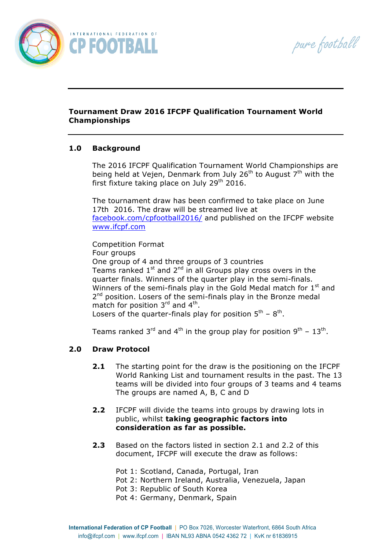pure football



## **Tournament Draw 2016 IFCPF Qualification Tournament World Championships**

## **1.0 Background**

The 2016 IFCPF Qualification Tournament World Championships are being held at Vejen, Denmark from July 26<sup>th</sup> to August  $7<sup>th</sup>$  with the first fixture taking place on July  $29<sup>th</sup>$  2016.

The tournament draw has been confirmed to take place on June 17th 2016. The draw will be streamed live at facebook.com/cpfootball2016/ and published on the IFCPF website www.ifcpf.com

Competition Format Four groups One group of 4 and three groups of 3 countries Teams ranked  $1^{st}$  and  $2^{nd}$  in all Groups play cross overs in the quarter finals. Winners of the quarter play in the semi-finals. Winners of the semi-finals play in the Gold Medal match for  $1<sup>st</sup>$  and 2<sup>nd</sup> position. Losers of the semi-finals play in the Bronze medal match for position 3<sup>rd</sup> and 4<sup>th</sup>. Losers of the quarter-finals play for position  $5<sup>th</sup> - 8<sup>th</sup>$ .

Teams ranked  $3^{rd}$  and  $4^{th}$  in the group play for position  $9^{th}$  –  $13^{th}$ .

## **2.0 Draw Protocol**

- **2.1** The starting point for the draw is the positioning on the IFCPF World Ranking List and tournament results in the past. The 13 teams will be divided into four groups of 3 teams and 4 teams The groups are named A, B, C and D
- **2.2** IFCPF will divide the teams into groups by drawing lots in public, whilst **taking geographic factors into consideration as far as possible.**
- **2.3** Based on the factors listed in section 2.1 and 2.2 of this document, IFCPF will execute the draw as follows:
	- Pot 1: Scotland, Canada, Portugal, Iran
	- Pot 2: Northern Ireland, Australia, Venezuela, Japan
		- Pot 3: Republic of South Korea
	- Pot 4: Germany, Denmark, Spain